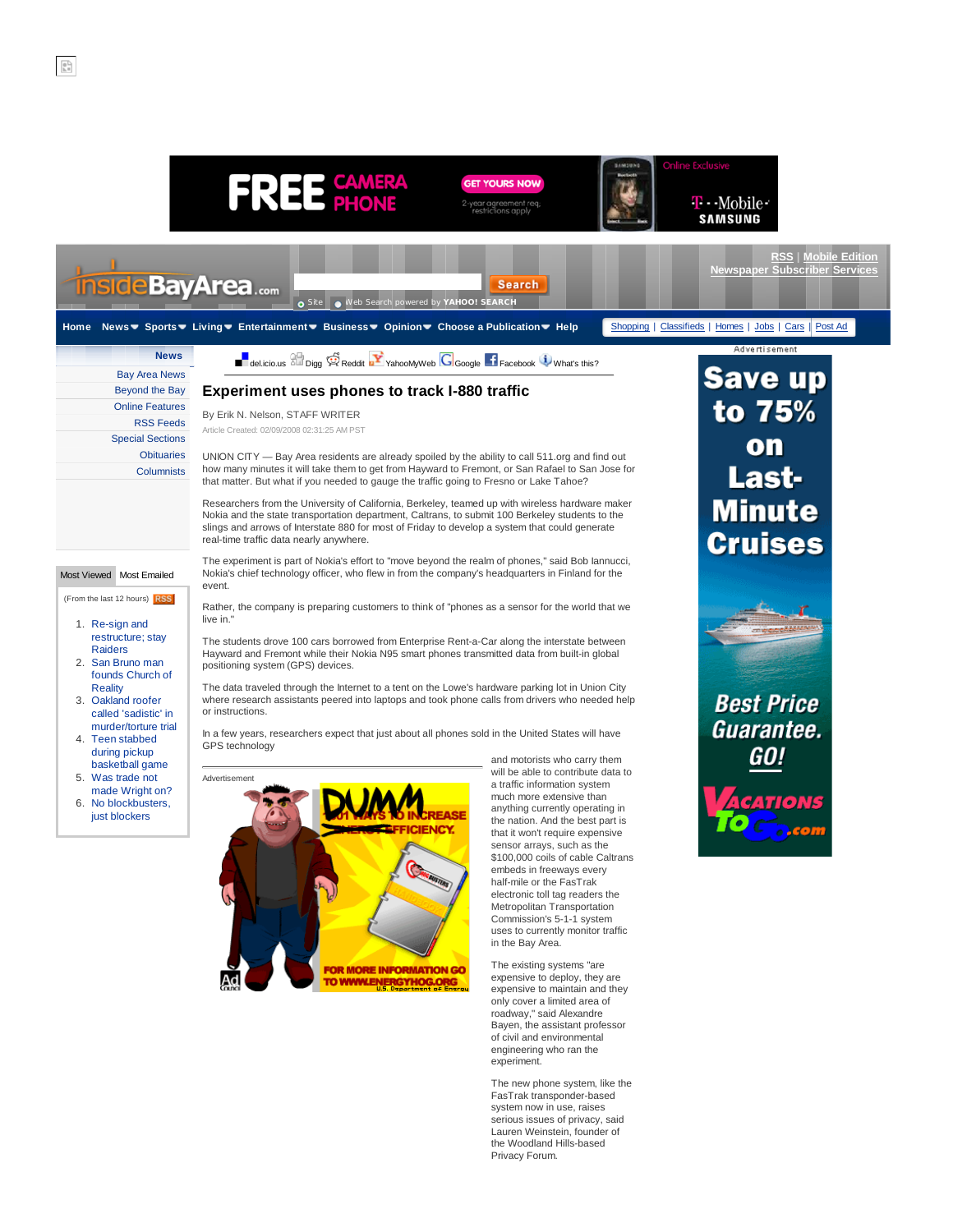

The new phone system, like the FasTrak transponder-based system now in use, raises serious issues of privacy, said Lauren Weinstein, founder of the Woodland Hills-based Privacy Forum.

 $\begin{bmatrix} 0 \\ h \\ h \end{bmatrix}$